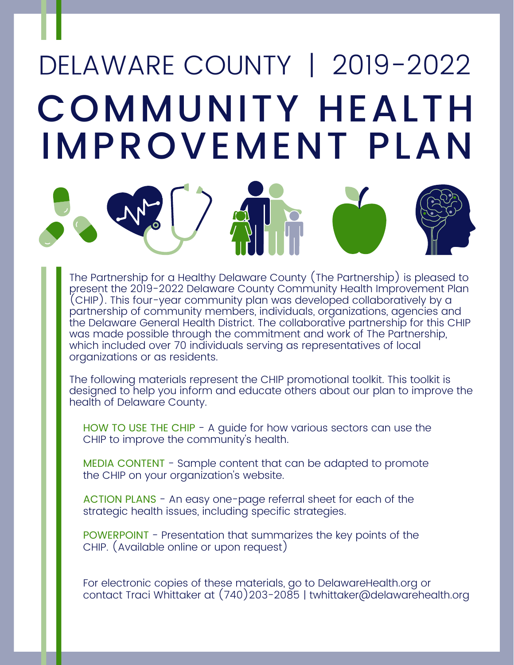# COMMUNITY HEALTH IMPROVEMENT PLAN DELAWARE COUNTY | 2019-2022



The following materials represent the CHIP promotional toolkit. This toolkit is designed to help you inform and educate others about our plan to improve the health of Delaware County.

HOW TO USE THE CHIP - A guide for how various sectors can use the CHIP to improve the community's health.

MEDIA CONTENT - Sample content that can be adapted to promote the CHIP on your organization's website.

ACTION PLANS - An easy one-page referral sheet for each of the strategic health issues, including specific strategies.

POWERPOINT - Presentation that summarizes the key points of the CHIP. (Available online or upon request)

For electronic copies of these materials, go to DelawareHealth.org or contact Traci Whittaker at (740)203-2085 | twhittaker@delawarehealth.org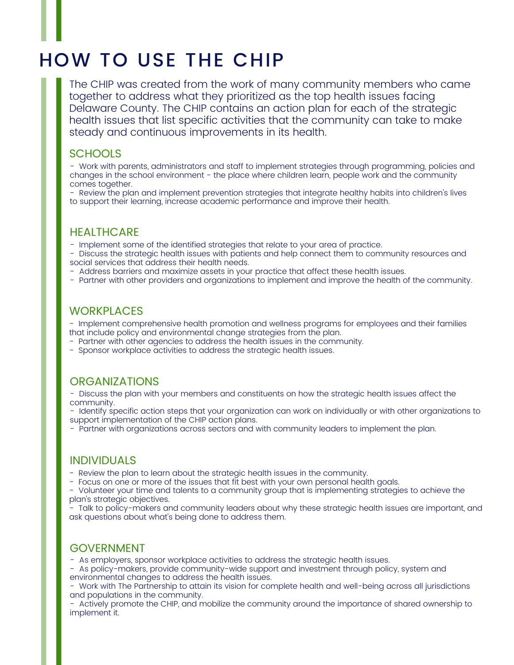## HOW TO USE THE CHIP

The CHIP was created from the work of many community members who came together to address what they prioritized as the top health issues facing Delaware County. The CHIP contains an action plan for each of the strategic health issues that list specific activities that the community can take to make steady and continuous improvements in its health.

#### **SCHOOLS**

- Work with parents, administrators and staff to implement strategies through programming, policies and changes in the school environment - the place where children learn, people work and the community comes together.

- Review the plan and implement prevention strategies that integrate healthy habits into children's lives to support their learning, increase academic performance and improve their health.

#### **HEALTHCARE**

- Implement some of the identified strategies that relate to your area of practice.

- Discuss the strategic health issues with patients and help connect them to community resources and social services that address their health needs.

- Address barriers and maximize assets in your practice that affect these health issues.

- Partner with other providers and organizations to implement and improve the health of the community.

#### **WORKPLACES**

- Implement comprehensive health promotion and wellness programs for employees and their families that include policy and environmental change strategies from the plan.

- Partner with other agencies to address the health issues in the community.
- Sponsor workplace activities to address the strategic health issues.

#### **ORGANIZATIONS**

- Discuss the plan with your members and constituents on how the strategic health issues affect the community.

- Identify specific action steps that your organization can work on individually or with other organizations to support implementation of the CHIP action plans.

- Partner with organizations across sectors and with community leaders to implement the plan.

#### INDIVIDUALS

- Review the plan to learn about the strategic health issues in the community.

- Focus on one or more of the issues that fit best with your own personal health goals.

- Volunteer your time and talents to a community group that is implementing strategies to achieve the plan's strategic objectives.

- Talk to policy-makers and community leaders about why these strategic health issues are important, and ask questions about what's being done to address them.

#### GOVERNMENT

- As employers, sponsor workplace activities to address the strategic health issues.

- As policy-makers, provide community-wide support and investment through policy, system and environmental changes to address the health issues.

- Work with The Partnership to attain its vision for complete health and well-being across all jurisdictions and populations in the community.

- Actively promote the CHIP, and mobilize the community around the importance of shared ownership to implement it.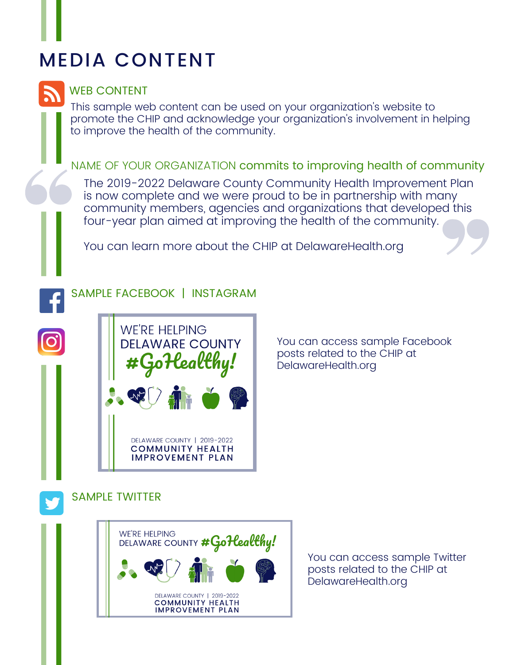# MEDIA CONTENT

### WEB CONTENT

This sample web content can be used on your organization's website to promote the CHIP and acknowledge your organization's involvement in helping to improve the health of the community.

### NAME OF YOUR ORGANIZATION commits to improving health of community

The 2019-2022 Delaware County Community Health Improvement Plan is now complete and we were proud to be in partnership with many community members, agencies and organizations that developed this four-year plan aimed at improving the health of the community.

You can learn more about the CHIP at DelawareHealth.org

### SAMPLE FACEBOOK | INSTAGRAM



You can access sample Facebook posts related to the CHIP at DelawareHealth.org

SAMPLE TWITTER



You can access sample Twitter posts related to the CHIP at DelawareHealth.org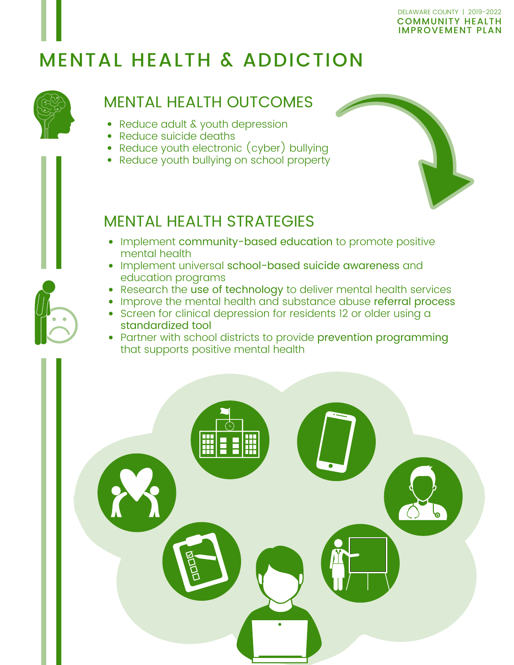## MENTAL HEALTH & ADDICTION



### MENTAL HEALTH OUTCOMES

- Reduce adult & youth depression
- Reduce suicide deaths
- Reduce youth electronic (cyber) bullying
- Reduce youth bullying on school property



## MENTAL HEALTH STRATEGIES

- Implement community-based education to promote positive mental health
- Implement universal school-based suicide awareness and education programs
- Research the use of technology to deliver mental health services
- Improve the mental health and substance abuse referral process
- Screen for clinical depression for residents 12 or older using a standardized tool
- Partner with school districts to provide prevention programming that supports positive mental health



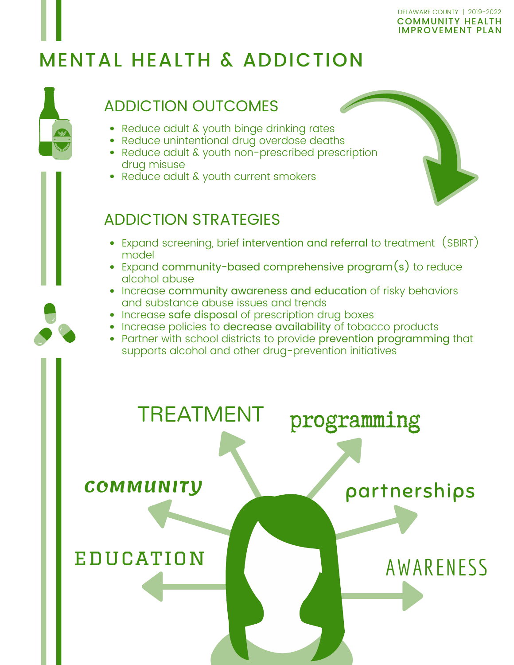#### COMMUNITY HEALTH IMPROVEMENT PLAN DELAWARE COUNTY | 2019-2022

# MENTAL HEALTH & ADDICTION



- Reduce adult & youth binge drinking rates
- Reduce unintentional drug overdose deaths
- Reduce adult & youth non-prescribed prescription drug misuse
- Reduce adult & youth current smokers

## ADDICTION STRATEGIES

- Expand screening, brief intervention and referral to treatment (SBIRT) model
- Expand community-based comprehensive program(s) to reduce alcohol abuse
- Increase community awareness and education of risky behaviors and substance abuse issues and trends
- Increase safe disposal of prescription drug boxes
- Increase policies to decrease availability of tobacco products
- Partner with school districts to provide prevention programming that supports alcohol and other drug-prevention initiatives

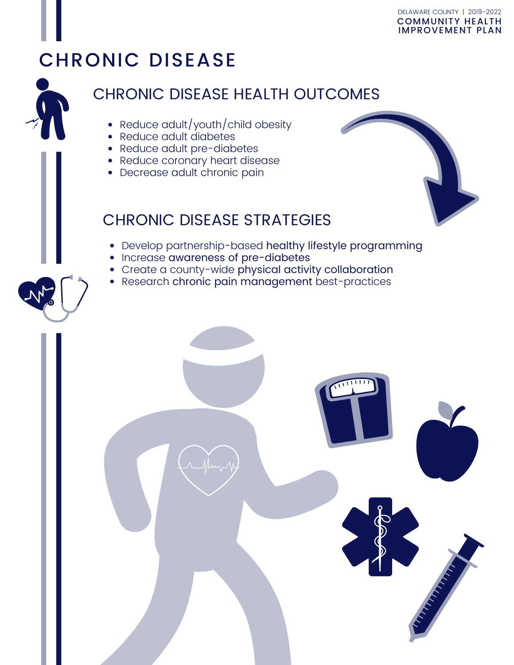#### COMMUNITY HEALTH IMPROVEMENT PLAN DELAWARE COUNTY | 2019-2022

## CHRONIC DISEASE

### CHRONIC DISEASE HEALTH OUTCOMES

- Reduce adult/youth/child obesity
- Reduce adult diabetes
- Reduce adult pre-diabetes
- Reduce coronary heart disease
- Decrease adult chronic pain

### CHRONIC DISEASE STRATEGIES

- Develop partnership-based healthy lifestyle programming
- Increase awareness of pre-diabetes
- Create a county-wide physical activity collaboration
- Research chronic pain management best-practices